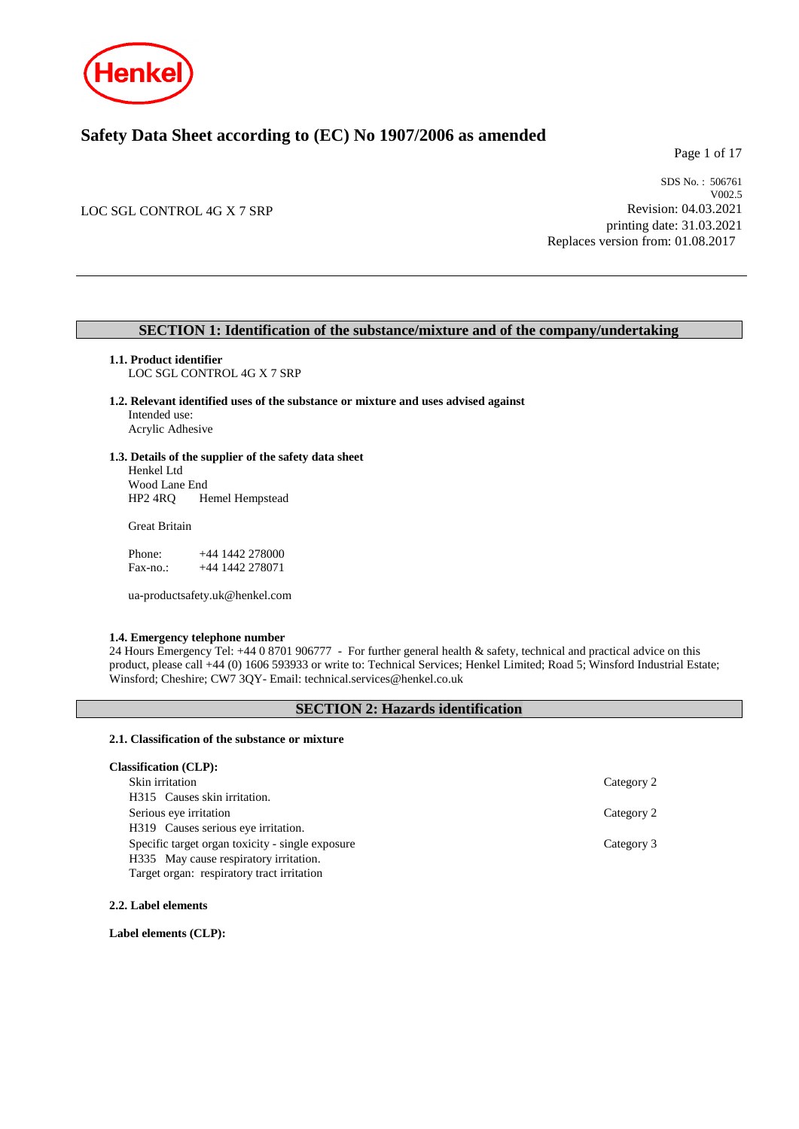

# **Safety Data Sheet according to (EC) No 1907/2006 as amended**

Page 1 of 17

LOC SGL CONTROL 4G X 7 SRP

SDS No. : 506761 V002.5 Revision: 04.03.2021 printing date: 31.03.2021 Replaces version from: 01.08.2017

### **SECTION 1: Identification of the substance/mixture and of the company/undertaking**

**1.1. Product identifier**

LOC SGL CONTROL 4G X 7 SRP

- **1.2. Relevant identified uses of the substance or mixture and uses advised against** Intended use: Acrylic Adhesive
- **1.3. Details of the supplier of the safety data sheet**

Henkel Ltd Wood Lane End<br>HP2 4RQ H Hemel Hempstead

Great Britain

Phone: +44 1442 278000<br>Fax-no.: +44 1442 278071 +44 1442 278071

ua-productsafety.uk@henkel.com

#### **1.4. Emergency telephone number**

24 Hours Emergency Tel: +44 0 8701 906777 - For further general health & safety, technical and practical advice on this product, please call +44 (0) 1606 593933 or write to: Technical Services; Henkel Limited; Road 5; Winsford Industrial Estate; Winsford; Cheshire; CW7 3QY- Email: technical.services@henkel.co.uk

### **SECTION 2: Hazards identification**

#### **2.1. Classification of the substance or mixture**

| <b>Classification (CLP):</b>                     |            |
|--------------------------------------------------|------------|
| Skin irritation                                  | Category 2 |
| H315 Causes skin irritation.                     |            |
| Serious eye irritation                           | Category 2 |
| H319 Causes serious eye irritation.              |            |
| Specific target organ toxicity - single exposure | Category 3 |
| H335 May cause respiratory irritation.           |            |
| Target organ: respiratory tract irritation       |            |

**2.2. Label elements**

**Label elements (CLP):**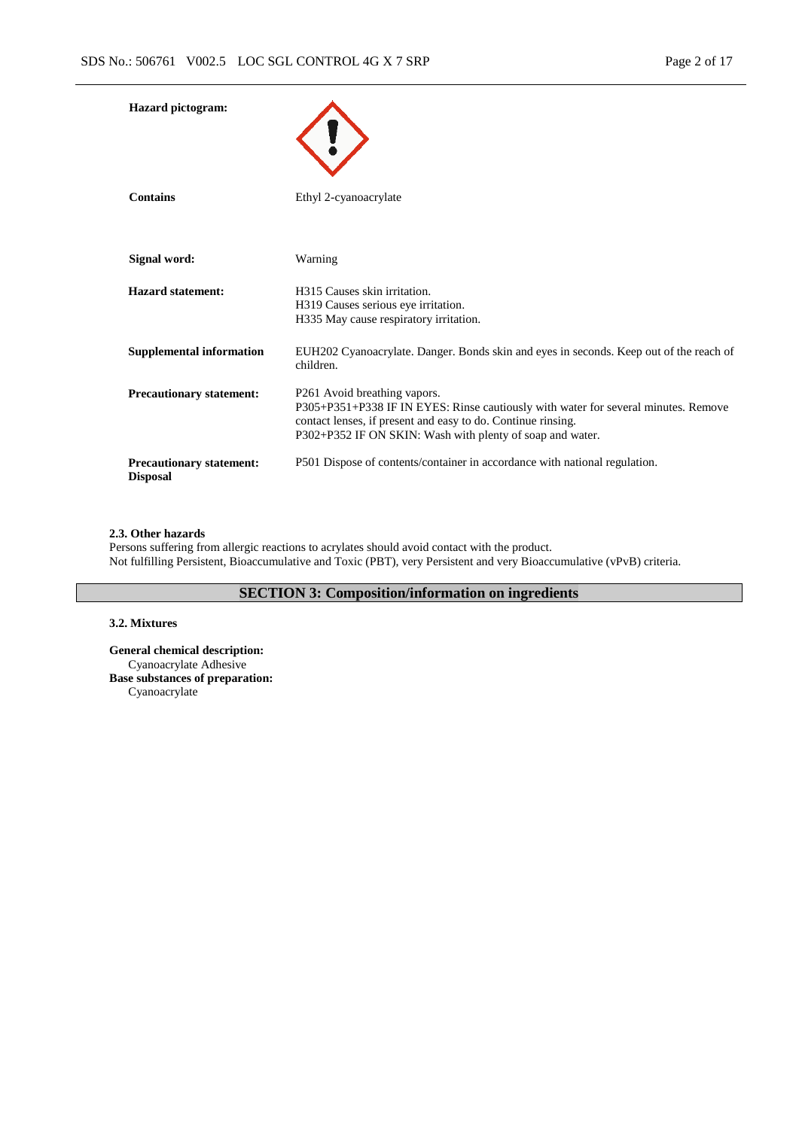| <b>Hazard</b> pictogram:                           |                                                                                                                                                                                                                                                             |
|----------------------------------------------------|-------------------------------------------------------------------------------------------------------------------------------------------------------------------------------------------------------------------------------------------------------------|
| <b>Contains</b>                                    | Ethyl 2-cyanoacrylate                                                                                                                                                                                                                                       |
| Signal word:                                       | Warning                                                                                                                                                                                                                                                     |
| <b>Hazard statement:</b>                           | H315 Causes skin irritation.<br>H319 Causes serious eye irritation.<br>H335 May cause respiratory irritation.                                                                                                                                               |
| <b>Supplemental information</b>                    | EUH202 Cyanoacrylate. Danger. Bonds skin and eyes in seconds. Keep out of the reach of<br>children.                                                                                                                                                         |
| <b>Precautionary statement:</b>                    | P <sub>261</sub> Avoid breathing vapors.<br>P305+P351+P338 IF IN EYES: Rinse cautiously with water for several minutes. Remove<br>contact lenses, if present and easy to do. Continue rinsing.<br>P302+P352 IF ON SKIN: Wash with plenty of soap and water. |
| <b>Precautionary statement:</b><br><b>Disposal</b> | P501 Dispose of contents/container in accordance with national regulation.                                                                                                                                                                                  |

#### **2.3. Other hazards**

Persons suffering from allergic reactions to acrylates should avoid contact with the product. Not fulfilling Persistent, Bioaccumulative and Toxic (PBT), very Persistent and very Bioaccumulative (vPvB) criteria.

### **SECTION 3: Composition/information on ingredients**

### **3.2. Mixtures**

**General chemical description:** Cyanoacrylate Adhesive **Base substances of preparation:** Cyanoacrylate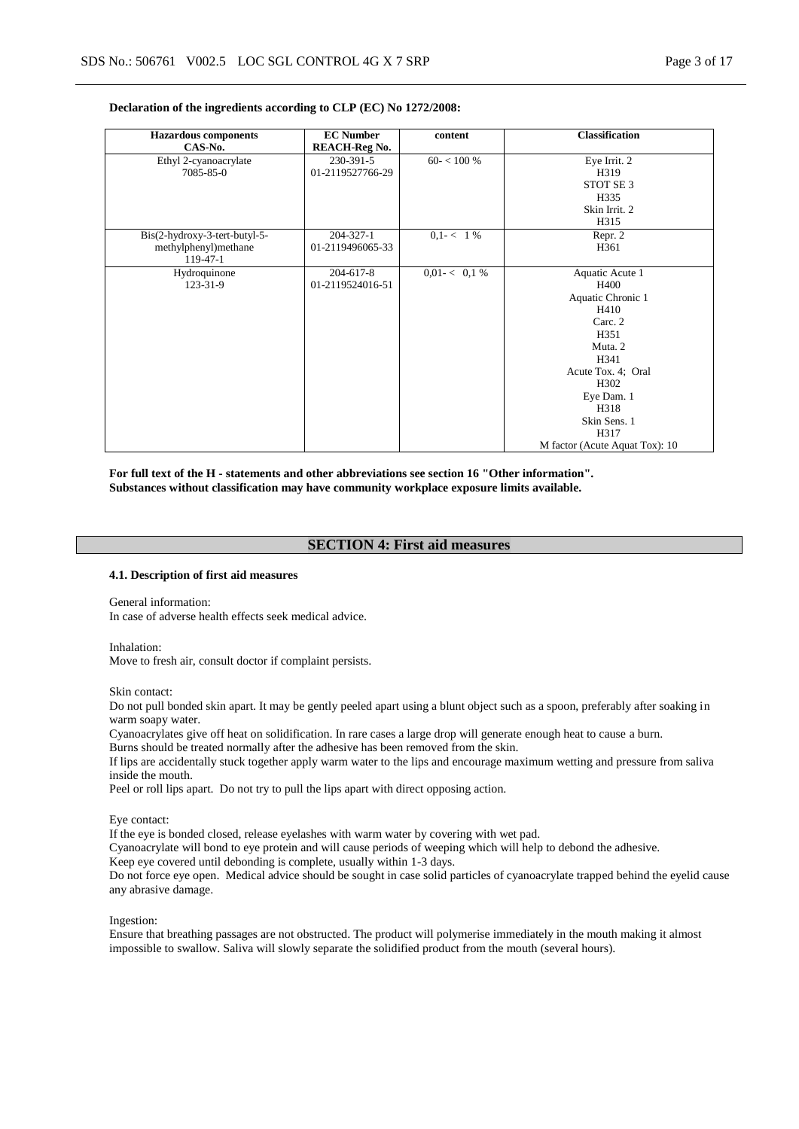#### **Declaration of the ingredients according to CLP (EC) No 1272/2008:**

| <b>Hazardous</b> components   | <b>EC Number</b>     | content          | <b>Classification</b>          |
|-------------------------------|----------------------|------------------|--------------------------------|
| CAS-No.                       | <b>REACH-Reg No.</b> |                  |                                |
| Ethyl 2-cyanoacrylate         | 230-391-5            | $60 - < 100\%$   | Eye Irrit. 2                   |
| 7085-85-0                     | 01-2119527766-29     |                  | H319                           |
|                               |                      |                  | STOT SE <sub>3</sub>           |
|                               |                      |                  | H335                           |
|                               |                      |                  | Skin Irrit. 2                  |
|                               |                      |                  | H315                           |
| Bis(2-hydroxy-3-tert-butyl-5- | 204-327-1            | $0,1 - 1\%$      | Repr. 2                        |
| methylphenyl)methane          | 01-2119496065-33     |                  | H361                           |
| 119-47-1                      |                      |                  |                                |
| Hydroquinone                  | 204-617-8            | $0.01 - < 0.1 %$ | Aquatic Acute 1                |
| 123-31-9                      | 01-2119524016-51     |                  | H400                           |
|                               |                      |                  | Aquatic Chronic 1              |
|                               |                      |                  | H410                           |
|                               |                      |                  | Carc. 2                        |
|                               |                      |                  | H351                           |
|                               |                      |                  | Muta. 2                        |
|                               |                      |                  | H341                           |
|                               |                      |                  | Acute Tox. 4; Oral             |
|                               |                      |                  | H302                           |
|                               |                      |                  | Eye Dam. 1                     |
|                               |                      |                  | H318                           |
|                               |                      |                  | Skin Sens. 1                   |
|                               |                      |                  | H317                           |
|                               |                      |                  | M factor (Acute Aquat Tox): 10 |

**For full text of the H - statements and other abbreviations see section 16 "Other information". Substances without classification may have community workplace exposure limits available.**

### **SECTION 4: First aid measures**

#### **4.1. Description of first aid measures**

General information:

In case of adverse health effects seek medical advice.

Inhalation:

Move to fresh air, consult doctor if complaint persists.

Skin contact:

Do not pull bonded skin apart. It may be gently peeled apart using a blunt object such as a spoon, preferably after soaking in warm soapy water.

Cyanoacrylates give off heat on solidification. In rare cases a large drop will generate enough heat to cause a burn.

Burns should be treated normally after the adhesive has been removed from the skin.

If lips are accidentally stuck together apply warm water to the lips and encourage maximum wetting and pressure from saliva inside the mouth.

Peel or roll lips apart. Do not try to pull the lips apart with direct opposing action.

Eye contact:

If the eye is bonded closed, release eyelashes with warm water by covering with wet pad.

Cyanoacrylate will bond to eye protein and will cause periods of weeping which will help to debond the adhesive.

Keep eye covered until debonding is complete, usually within 1-3 days.

Do not force eye open. Medical advice should be sought in case solid particles of cyanoacrylate trapped behind the eyelid cause any abrasive damage.

Ingestion:

Ensure that breathing passages are not obstructed. The product will polymerise immediately in the mouth making it almost impossible to swallow. Saliva will slowly separate the solidified product from the mouth (several hours).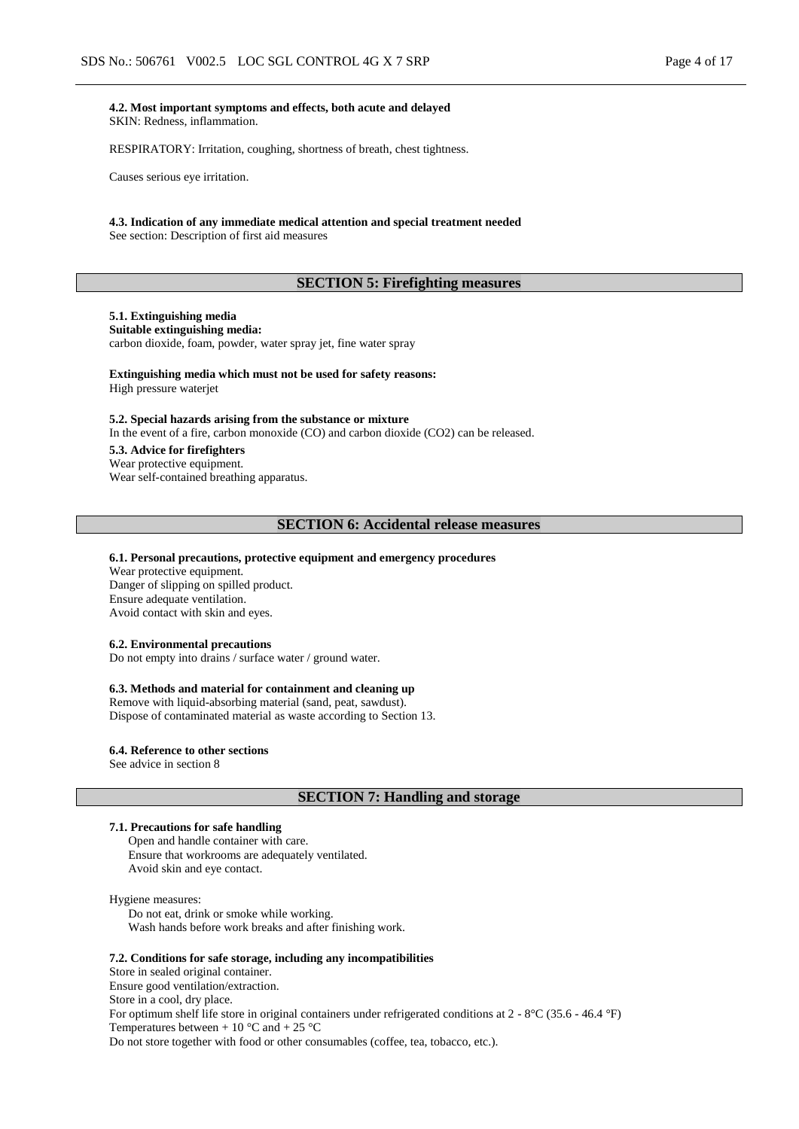**4.2. Most important symptoms and effects, both acute and delayed** SKIN: Redness, inflammation.

RESPIRATORY: Irritation, coughing, shortness of breath, chest tightness.

Causes serious eye irritation.

#### **4.3. Indication of any immediate medical attention and special treatment needed** See section: Description of first aid measures

# **SECTION 5: Firefighting measures**

#### **5.1. Extinguishing media**

#### **Suitable extinguishing media:**

carbon dioxide, foam, powder, water spray jet, fine water spray

#### **Extinguishing media which must not be used for safety reasons:**

High pressure waterjet

#### **5.2. Special hazards arising from the substance or mixture**

In the event of a fire, carbon monoxide (CO) and carbon dioxide (CO2) can be released.

#### **5.3. Advice for firefighters**

Wear protective equipment. Wear self-contained breathing apparatus.

#### **SECTION 6: Accidental release measures**

#### **6.1. Personal precautions, protective equipment and emergency procedures**

Wear protective equipment. Danger of slipping on spilled product. Ensure adequate ventilation. Avoid contact with skin and eyes.

### **6.2. Environmental precautions**

Do not empty into drains / surface water / ground water.

#### **6.3. Methods and material for containment and cleaning up**

Remove with liquid-absorbing material (sand, peat, sawdust). Dispose of contaminated material as waste according to Section 13.

#### **6.4. Reference to other sections** See advice in section 8

**SECTION 7: Handling and storage**

#### **7.1. Precautions for safe handling**

Open and handle container with care. Ensure that workrooms are adequately ventilated. Avoid skin and eye contact.

#### Hygiene measures:

Do not eat, drink or smoke while working. Wash hands before work breaks and after finishing work.

#### **7.2. Conditions for safe storage, including any incompatibilities**

Store in sealed original container. Ensure good ventilation/extraction.

Store in a cool, dry place.

For optimum shelf life store in original containers under refrigerated conditions at 2 - 8°C (35.6 - 46.4 °F) Temperatures between  $+10$  °C and  $+25$  °C Do not store together with food or other consumables (coffee, tea, tobacco, etc.).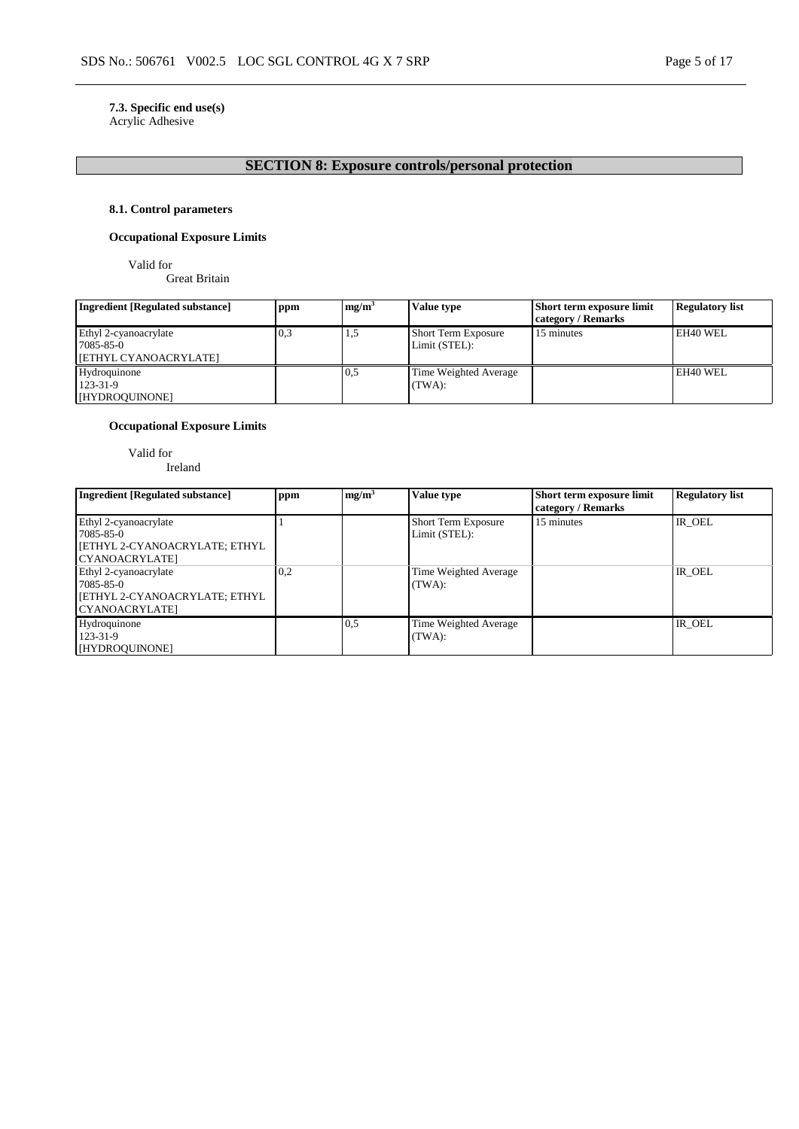# **7.3. Specific end use(s)**

Acrylic Adhesive

# **SECTION 8: Exposure controls/personal protection**

### **8.1. Control parameters**

### **Occupational Exposure Limits**

Valid for

Great Britain

| <b>Ingredient [Regulated substance]</b> | ppm | mg/m <sup>3</sup> | <b>Value type</b>          | <b>Short term exposure limit</b> | <b>Regulatory list</b> |
|-----------------------------------------|-----|-------------------|----------------------------|----------------------------------|------------------------|
|                                         |     |                   |                            | category / Remarks               |                        |
| Ethyl 2-cyanoacrylate                   | 0,3 | 1,5               | <b>Short Term Exposure</b> | 15 minutes                       | EH40 WEL               |
| 7085-85-0                               |     |                   | Limit (STEL):              |                                  |                        |
| [ETHYL CYANOACRYLATE]                   |     |                   |                            |                                  |                        |
| Hydroquinone                            |     | 0,5               | Time Weighted Average      |                                  | EH40 WEL               |
| 123-31-9                                |     |                   | (TWA):                     |                                  |                        |
| [HYDROQUINONE]                          |     |                   |                            |                                  |                        |

### **Occupational Exposure Limits**

Valid for Ireland

| <b>Ingredient [Regulated substance]</b>                                                      | ppm | mg/m <sup>3</sup> | Value type                                  | Short term exposure limit<br>category / Remarks | <b>Regulatory list</b> |
|----------------------------------------------------------------------------------------------|-----|-------------------|---------------------------------------------|-------------------------------------------------|------------------------|
| Ethyl 2-cyanoacrylate<br>7085-85-0<br>[ETHYL 2-CYANOACRYLATE; ETHYL<br>CYANOACRYLATE]        |     |                   | <b>Short Term Exposure</b><br>Limit (STEL): | 15 minutes                                      | IR OEL                 |
| Ethyl 2-cyanoacrylate<br>7085-85-0<br><b>[ETHYL 2-CYANOACRYLATE; ETHYL</b><br>CYANOACRYLATE] | 0.2 |                   | Time Weighted Average<br>(TWA):             |                                                 | IR OEL                 |
| Hydroquinone<br>123-31-9<br>[HYDROQUINONE]                                                   |     | 0.5               | Time Weighted Average<br>(TWA):             |                                                 | IR OEL                 |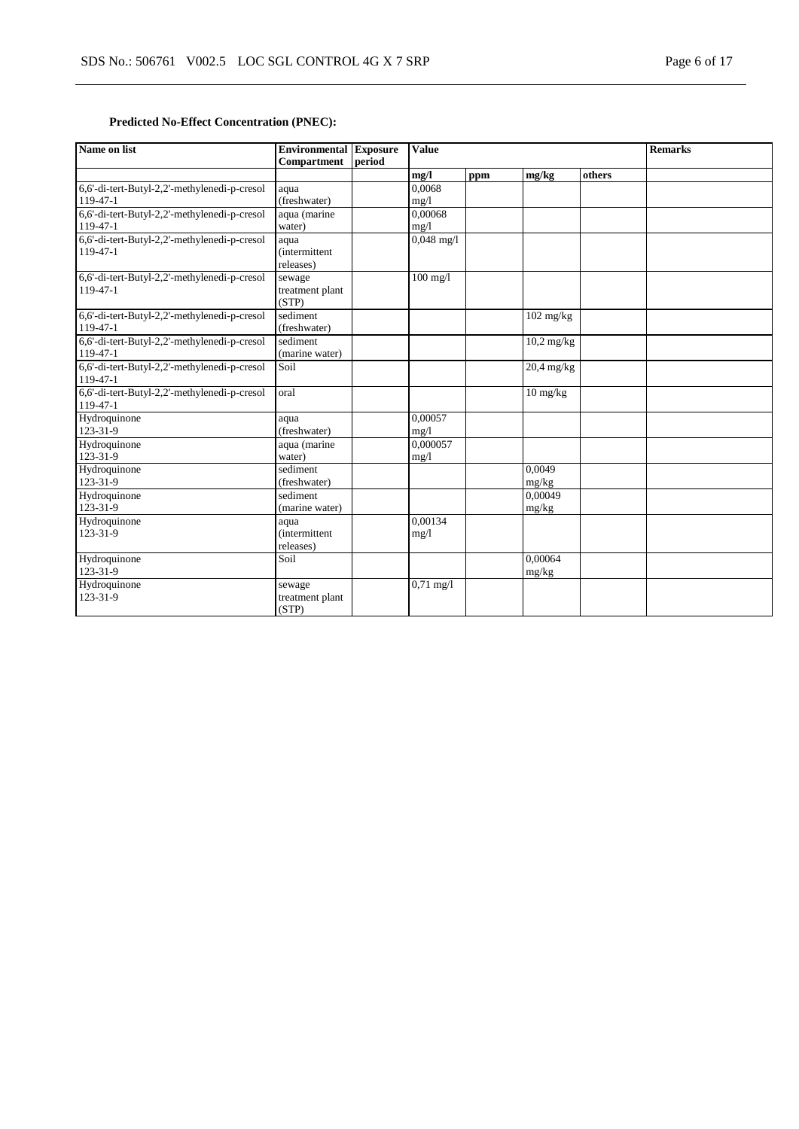# **Predicted No-Effect Concentration (PNEC):**

| Name on list                                                   | <b>Environmental Exposure</b><br><b>Compartment</b> | period | <b>Value</b>        |     |                    | <b>Remarks</b> |  |
|----------------------------------------------------------------|-----------------------------------------------------|--------|---------------------|-----|--------------------|----------------|--|
|                                                                |                                                     |        | mg/l                | ppm | mg/kg              | others         |  |
| 6,6'-di-tert-Butyl-2,2'-methylenedi-p-cresol<br>119-47-1       | aqua<br>(freshwater)                                |        | 0.0068<br>mg/1      |     |                    |                |  |
| 6,6'-di-tert-Butyl-2,2'-methylenedi-p-cresol<br>119-47-1       | aqua (marine<br>water)                              |        | 0,00068<br>mg/1     |     |                    |                |  |
| 6,6'-di-tert-Butyl-2,2'-methylenedi-p-cresol<br>$119 - 47 - 1$ | aqua<br><i>(intermittent)</i><br>releases)          |        | $0,048$ mg/l        |     |                    |                |  |
| 6,6'-di-tert-Butyl-2,2'-methylenedi-p-cresol<br>$119-47-1$     | sewage<br>treatment plant<br>(STP)                  |        | $100 \text{ mg}/1$  |     |                    |                |  |
| 6,6'-di-tert-Butyl-2,2'-methylenedi-p-cresol<br>119-47-1       | sediment<br>(freshwater)                            |        |                     |     | $102$ mg/kg        |                |  |
| 6,6'-di-tert-Butyl-2,2'-methylenedi-p-cresol<br>119-47-1       | sediment<br>(marine water)                          |        |                     |     | $10,2$ mg/kg       |                |  |
| 6,6'-di-tert-Butyl-2,2'-methylenedi-p-cresol<br>119-47-1       | Soi1                                                |        |                     |     | 20,4 mg/kg         |                |  |
| 6,6'-di-tert-Butyl-2,2'-methylenedi-p-cresol<br>119-47-1       | oral                                                |        |                     |     | $10 \text{ mg/kg}$ |                |  |
| Hydroquinone<br>123-31-9                                       | aqua<br>(freshwater)                                |        | 0.00057<br>mg/l     |     |                    |                |  |
| Hydroquinone<br>123-31-9                                       | aqua (marine<br>water)                              |        | 0.000057<br>mg/1    |     |                    |                |  |
| Hydroquinone<br>123-31-9                                       | sediment<br>(freshwater)                            |        |                     |     | 0,0049<br>mg/kg    |                |  |
| Hydroquinone<br>123-31-9                                       | sediment<br>(marine water)                          |        |                     |     | 0.00049<br>mg/kg   |                |  |
| Hydroquinone<br>123-31-9                                       | aqua<br><i>(intermittent)</i><br>releases)          |        | 0,00134<br>mg/l     |     |                    |                |  |
| Hydroquinone<br>123-31-9                                       | Soil                                                |        |                     |     | 0.00064<br>mg/kg   |                |  |
| Hydroquinone<br>123-31-9                                       | sewage<br>treatment plant<br>(STP)                  |        | $0,71 \text{ mg}/1$ |     |                    |                |  |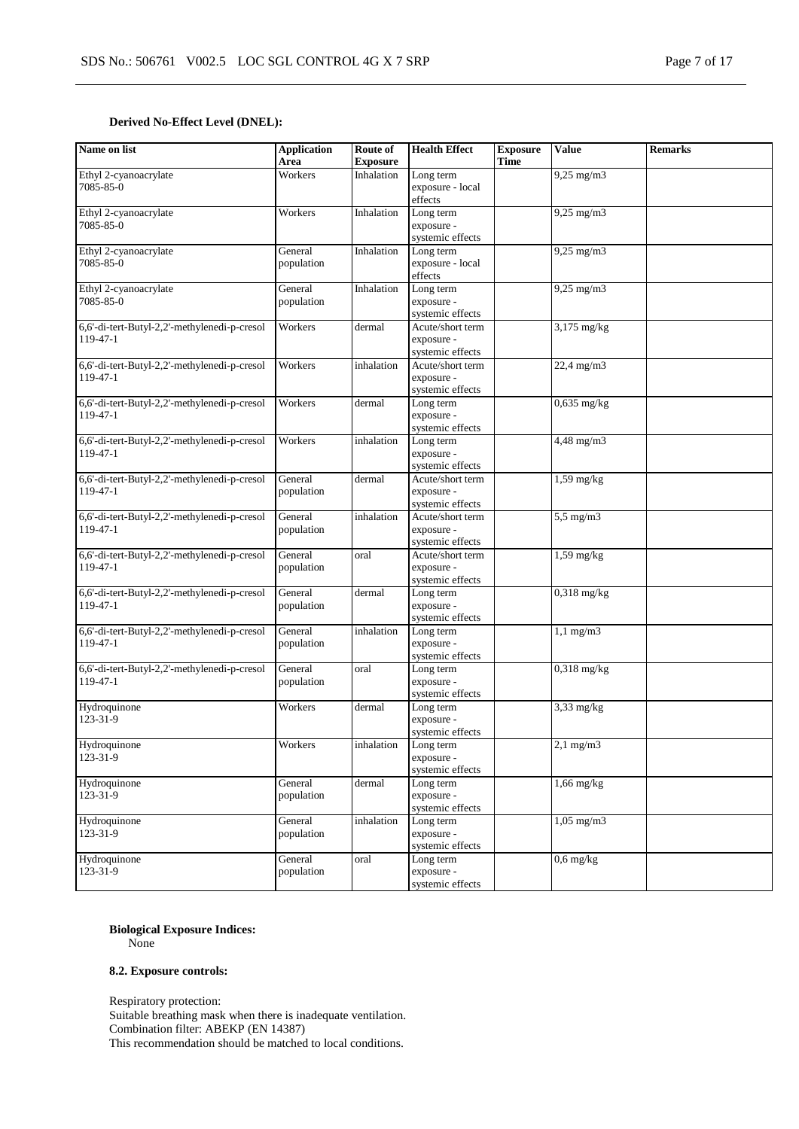### **Derived No-Effect Level (DNEL):**

| Name on list                                             | <b>Application</b><br>Area | Route of<br><b>Exposure</b> | <b>Health Effect</b>                               | <b>Exposure</b><br><b>Time</b> | <b>Value</b>            | <b>Remarks</b> |
|----------------------------------------------------------|----------------------------|-----------------------------|----------------------------------------------------|--------------------------------|-------------------------|----------------|
| Ethyl 2-cyanoacrylate<br>7085-85-0                       | Workers                    | Inhalation                  | Long term<br>exposure - local<br>effects           |                                | $9,25$ mg/m $3$         |                |
| Ethyl 2-cyanoacrylate<br>7085-85-0                       | Workers                    | Inhalation                  | Long term<br>exposure -<br>systemic effects        |                                | $9,25$ mg/m $3$         |                |
| Ethyl 2-cyanoacrylate<br>7085-85-0                       | General<br>population      | Inhalation                  | Long term<br>exposure - local<br>effects           |                                | $9,25$ mg/m $3$         |                |
| Ethyl 2-cyanoacrylate<br>7085-85-0                       | General<br>population      | Inhalation                  | Long term<br>exposure -<br>systemic effects        |                                | $9,25$ mg/m $3$         |                |
| 6,6'-di-tert-Butyl-2,2'-methylenedi-p-cresol<br>119-47-1 | Workers                    | dermal                      | Acute/short term<br>exposure -<br>systemic effects |                                | $3,175$ mg/kg           |                |
| 6,6'-di-tert-Butyl-2,2'-methylenedi-p-cresol<br>119-47-1 | Workers                    | inhalation                  | Acute/short term<br>exposure -<br>systemic effects |                                | 22,4 mg/m3              |                |
| 6,6'-di-tert-Butyl-2,2'-methylenedi-p-cresol<br>119-47-1 | Workers                    | dermal                      | Long term<br>exposure -<br>systemic effects        |                                | $0,635$ mg/kg           |                |
| 6,6'-di-tert-Butyl-2,2'-methylenedi-p-cresol<br>119-47-1 | Workers                    | inhalation                  | Long term<br>exposure -<br>systemic effects        |                                | $4,48$ mg/m $3$         |                |
| 6,6'-di-tert-Butyl-2,2'-methylenedi-p-cresol<br>119-47-1 | General<br>population      | dermal                      | Acute/short term<br>exposure -<br>systemic effects |                                | $1,59$ mg/kg            |                |
| 6,6'-di-tert-Butyl-2,2'-methylenedi-p-cresol<br>119-47-1 | General<br>population      | inhalation                  | Acute/short term<br>exposure -<br>systemic effects |                                | $5,5$ mg/m $3$          |                |
| 6,6'-di-tert-Butyl-2,2'-methylenedi-p-cresol<br>119-47-1 | General<br>population      | oral                        | Acute/short term<br>exposure -<br>systemic effects |                                | $1,59$ mg/kg            |                |
| 6,6'-di-tert-Butyl-2,2'-methylenedi-p-cresol<br>119-47-1 | General<br>population      | dermal                      | Long term<br>exposure -<br>systemic effects        |                                | $0,318$ mg/kg           |                |
| 6,6'-di-tert-Butyl-2,2'-methylenedi-p-cresol<br>119-47-1 | General<br>population      | inhalation                  | Long term<br>exposure -<br>systemic effects        |                                | $1,1$ mg/m $3$          |                |
| 6,6'-di-tert-Butyl-2,2'-methylenedi-p-cresol<br>119-47-1 | General<br>population      | oral                        | Long term<br>exposure -<br>systemic effects        |                                | $0,318$ mg/kg           |                |
| Hydroquinone<br>123-31-9                                 | Workers                    | dermal                      | Long term<br>exposure -<br>systemic effects        |                                | $\overline{3,33}$ mg/kg |                |
| Hydroquinone<br>123-31-9                                 | Workers                    | inhalation                  | Long term<br>exposure -<br>systemic effects        |                                | $2,1$ mg/m $3$          |                |
| Hydroquinone<br>123-31-9                                 | General<br>population      | dermal                      | Long term<br>exposure -<br>systemic effects        |                                | $1,66$ mg/kg            |                |
| Hydroquinone<br>123-31-9                                 | General<br>population      | inhalation                  | Long term<br>exposure -<br>systemic effects        |                                | $1,05$ mg/m $3$         |                |
| Hydroquinone<br>123-31-9                                 | General<br>population      | oral                        | Long term<br>exposure -<br>systemic effects        |                                | $0,6$ mg/kg             |                |

### **Biological Exposure Indices:**

None

### **8.2. Exposure controls:**

Respiratory protection: Suitable breathing mask when there is inadequate ventilation. Combination filter: ABEKP (EN 14387) This recommendation should be matched to local conditions.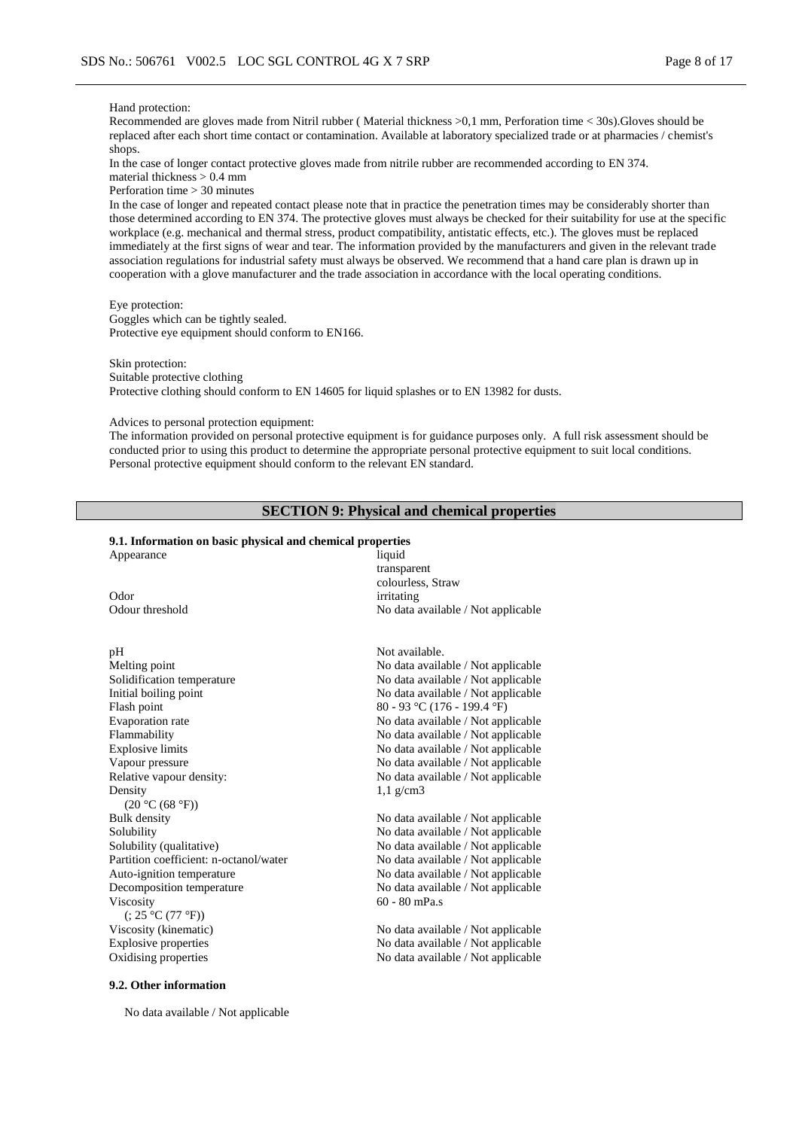#### Hand protection:

Recommended are gloves made from Nitril rubber ( Material thickness >0,1 mm, Perforation time < 30s).Gloves should be replaced after each short time contact or contamination. Available at laboratory specialized trade or at pharmacies / chemist's shops.

In the case of longer contact protective gloves made from nitrile rubber are recommended according to EN 374. material thickness > 0.4 mm

Perforation time > 30 minutes

In the case of longer and repeated contact please note that in practice the penetration times may be considerably shorter than those determined according to EN 374. The protective gloves must always be checked for their suitability for use at the specific workplace (e.g. mechanical and thermal stress, product compatibility, antistatic effects, etc.). The gloves must be replaced immediately at the first signs of wear and tear. The information provided by the manufacturers and given in the relevant trade association regulations for industrial safety must always be observed. We recommend that a hand care plan is drawn up in cooperation with a glove manufacturer and the trade association in accordance with the local operating conditions.

#### Eye protection:

Goggles which can be tightly sealed. Protective eye equipment should conform to EN166.

Skin protection: Suitable protective clothing Protective clothing should conform to EN 14605 for liquid splashes or to EN 13982 for dusts.

Advices to personal protection equipment:

The information provided on personal protective equipment is for guidance purposes only. A full risk assessment should be conducted prior to using this product to determine the appropriate personal protective equipment to suit local conditions. Personal protective equipment should conform to the relevant EN standard.

### **SECTION 9: Physical and chemical properties**

#### **9.1. Information on basic physical and chemical properties**

| Appearance                             | liquid                             |
|----------------------------------------|------------------------------------|
|                                        | transparent                        |
|                                        | colourless, Straw                  |
| Odor                                   | irritating                         |
| Odour threshold                        | No data available / Not applicable |
| pH                                     | Not available.                     |
| Melting point                          | No data available / Not applicable |
| Solidification temperature             | No data available / Not applicable |
| Initial boiling point                  | No data available / Not applicable |
| Flash point                            | 80 - 93 °C (176 - 199.4 °F)        |
| Evaporation rate                       | No data available / Not applicable |
| Flammability                           | No data available / Not applicable |
| <b>Explosive limits</b>                | No data available / Not applicable |
| Vapour pressure                        | No data available / Not applicable |
| Relative vapour density:               | No data available / Not applicable |
| Density                                | $1,1$ g/cm3                        |
| (20 °C (68 °F))                        |                                    |
| <b>Bulk</b> density                    | No data available / Not applicable |
| Solubility                             | No data available / Not applicable |
| Solubility (qualitative)               | No data available / Not applicable |
| Partition coefficient: n-octanol/water | No data available / Not applicable |
| Auto-ignition temperature              | No data available / Not applicable |
| Decomposition temperature              | No data available / Not applicable |
| Viscosity                              | $60 - 80$ mPa.s                    |
| (25 °C (77 °F))                        |                                    |
| Viscosity (kinematic)                  | No data available / Not applicable |
| <b>Explosive properties</b>            | No data available / Not applicable |
| Oxidising properties                   | No data available / Not applicable |
|                                        |                                    |

#### **9.2. Other information**

No data available / Not applicable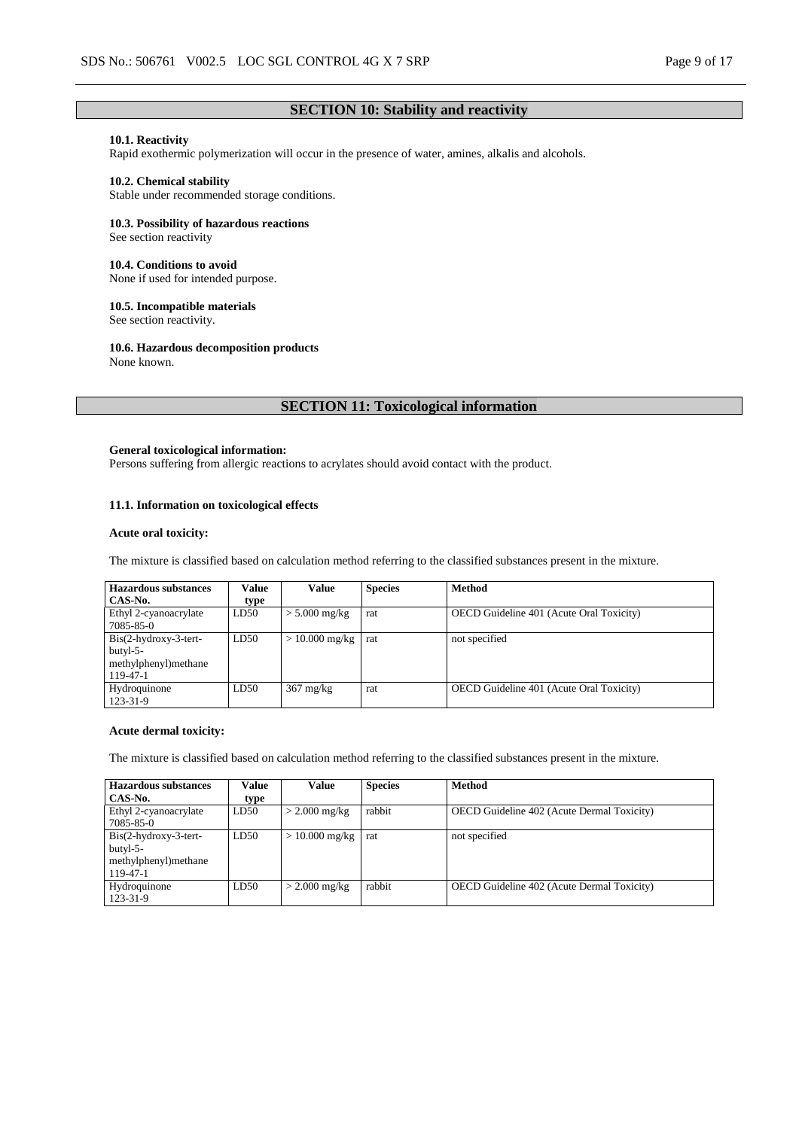### **SECTION 10: Stability and reactivity**

# **10.1. Reactivity**

Rapid exothermic polymerization will occur in the presence of water, amines, alkalis and alcohols.

#### **10.2. Chemical stability**

Stable under recommended storage conditions.

#### **10.3. Possibility of hazardous reactions**

See section reactivity

#### **10.4. Conditions to avoid**

None if used for intended purpose.

### **10.5. Incompatible materials**

See section reactivity.

#### **10.6. Hazardous decomposition products**

None known.

# **SECTION 11: Toxicological information**

#### **General toxicological information:**

Persons suffering from allergic reactions to acrylates should avoid contact with the product.

### **11.1. Information on toxicological effects**

#### **Acute oral toxicity:**

The mixture is classified based on calculation method referring to the classified substances present in the mixture.

| <b>Hazardous</b> substances                                              | Value | <b>Value</b>                 | <b>Species</b> | <b>Method</b>                            |
|--------------------------------------------------------------------------|-------|------------------------------|----------------|------------------------------------------|
| CAS-No.                                                                  | type  |                              |                |                                          |
| Ethyl 2-cyanoacrylate<br>7085-85-0                                       | LD50  | $> 5.000$ mg/kg              | rat            | OECD Guideline 401 (Acute Oral Toxicity) |
| $Bis(2-hydroxy-3-tert-$<br>butyl-5-<br>methylphenyl) methane<br>119-47-1 | LD50  | $> 10.000$ mg/kg $\vert$ rat |                | not specified                            |
| Hydroquinone<br>123-31-9                                                 | LD50  | $367 \text{ mg/kg}$          | rat            | OECD Guideline 401 (Acute Oral Toxicity) |

#### **Acute dermal toxicity:**

The mixture is classified based on calculation method referring to the classified substances present in the mixture.

| <b>Hazardous substances</b>                                             | Value | Value            | <b>Species</b> | <b>Method</b>                                     |
|-------------------------------------------------------------------------|-------|------------------|----------------|---------------------------------------------------|
| CAS-No.                                                                 | type  |                  |                |                                                   |
| Ethyl 2-cyanoacrylate<br>7085-85-0                                      | LD50  | $>$ 2.000 mg/kg  | rabbit         | <b>OECD</b> Guideline 402 (Acute Dermal Toxicity) |
| $Bis(2-hydroxy-3-tert-$<br>butyl-5-<br>methylphenyl)methane<br>119-47-1 | LD50  | $> 10.000$ mg/kg | rat            | not specified                                     |
| Hydroquinone<br>123-31-9                                                | LD50  | $>$ 2.000 mg/kg  | rabbit         | <b>OECD</b> Guideline 402 (Acute Dermal Toxicity) |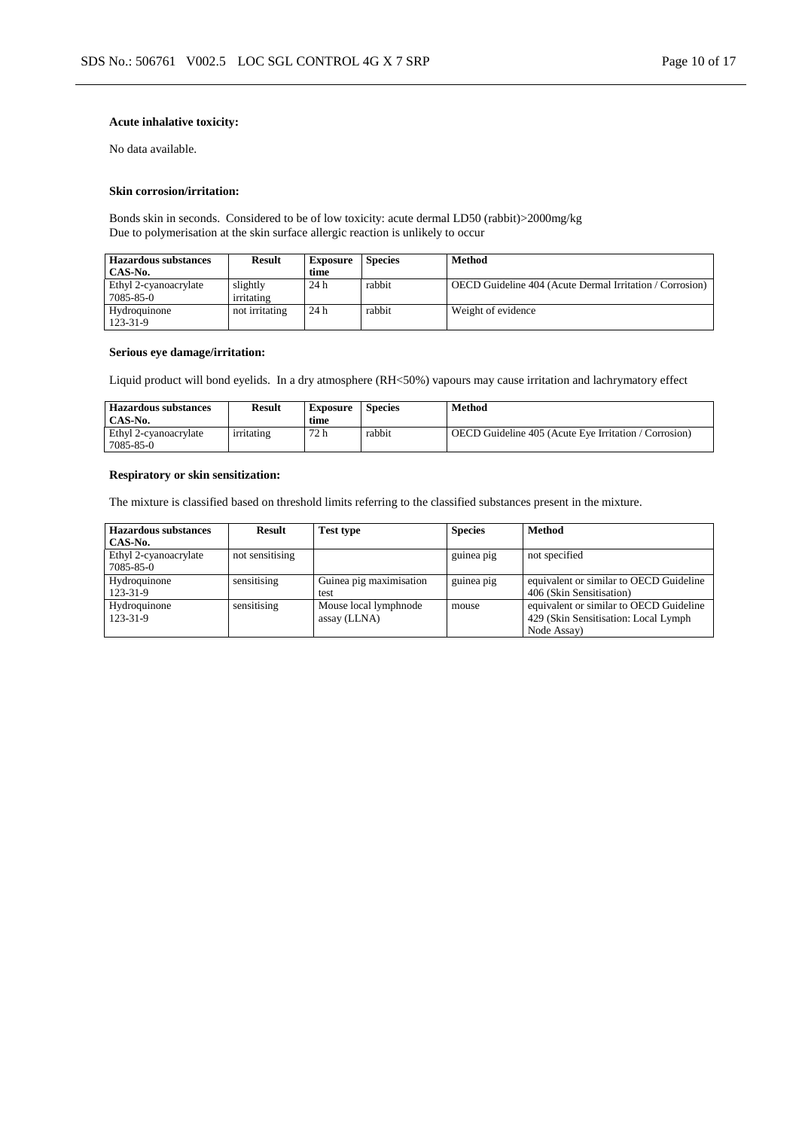### **Acute inhalative toxicity:**

No data available.

#### **Skin corrosion/irritation:**

Bonds skin in seconds. Considered to be of low toxicity: acute dermal LD50 (rabbit)>2000mg/kg Due to polymerisation at the skin surface allergic reaction is unlikely to occur

| <b>Hazardous substances</b><br>CAS-No. | <b>Result</b>          | <b>Exposure</b><br>time | <b>Species</b> | <b>Method</b>                                                   |
|----------------------------------------|------------------------|-------------------------|----------------|-----------------------------------------------------------------|
| Ethyl 2-cyanoacrylate<br>7085-85-0     | slightly<br>irritating | 24 h                    | rabbit         | <b>OECD</b> Guideline 404 (Acute Dermal Irritation / Corrosion) |
| Hydroquinone<br>123-31-9               | not irritating         | 24 h                    | rabbit         | Weight of evidence                                              |

#### **Serious eye damage/irritation:**

Liquid product will bond eyelids. In a dry atmosphere (RH<50%) vapours may cause irritation and lachrymatory effect

| <b>Hazardous substances</b><br>CAS-No. | <b>Result</b> | Exposure<br>time | <b>Species</b> | Method                                                |
|----------------------------------------|---------------|------------------|----------------|-------------------------------------------------------|
| Ethyl 2-cyanoacrylate<br>7085-85-0     | irritating    | 72 h             | rabbit         | OECD Guideline 405 (Acute Eye Irritation / Corrosion) |

### **Respiratory or skin sensitization:**

The mixture is classified based on threshold limits referring to the classified substances present in the mixture.

| <b>Hazardous substances</b> | <b>Result</b>   | <b>Test type</b>        | <b>Species</b> | <b>Method</b>                           |
|-----------------------------|-----------------|-------------------------|----------------|-----------------------------------------|
| CAS-No.                     |                 |                         |                |                                         |
| Ethyl 2-cyanoacrylate       | not sensitising |                         | guinea pig     | not specified                           |
| 7085-85-0                   |                 |                         |                |                                         |
| Hydroquinone                | sensitising     | Guinea pig maximisation | guinea pig     | equivalent or similar to OECD Guideline |
| 123-31-9                    |                 | test                    |                | 406 (Skin Sensitisation)                |
| Hydroquinone                | sensitising     | Mouse local lymphnode   | mouse          | equivalent or similar to OECD Guideline |
| 123-31-9                    |                 | assay (LLNA)            |                | 429 (Skin Sensitisation: Local Lymph)   |
|                             |                 |                         |                | Node Assay)                             |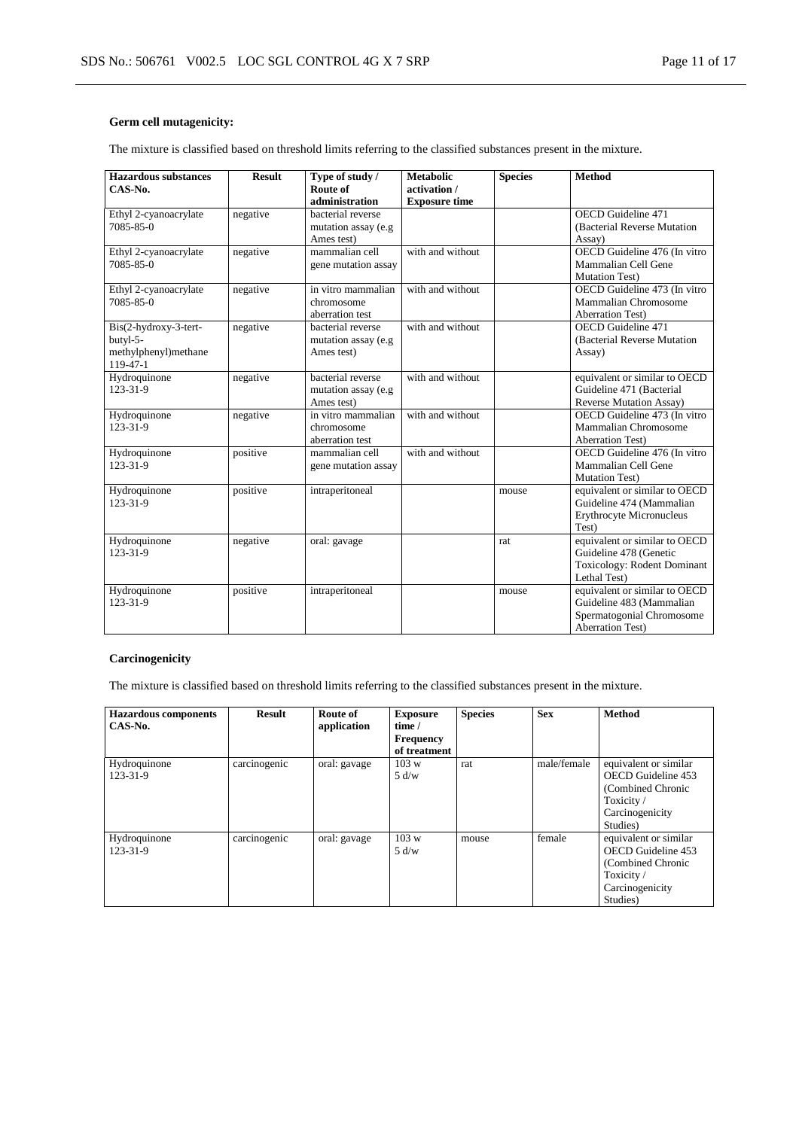### **Germ cell mutagenicity:**

The mixture is classified based on threshold limits referring to the classified substances present in the mixture.

| <b>Hazardous substances</b><br>CAS-No.                                | <b>Result</b> | Type of study /<br>Route of<br>administration          | <b>Metabolic</b><br>activation /<br><b>Exposure time</b> | <b>Species</b> | <b>Method</b>                                                                                                     |
|-----------------------------------------------------------------------|---------------|--------------------------------------------------------|----------------------------------------------------------|----------------|-------------------------------------------------------------------------------------------------------------------|
| Ethyl 2-cyanoacrylate<br>7085-85-0                                    | negative      | bacterial reverse<br>mutation assay (e.g<br>Ames test) |                                                          |                | OECD Guideline 471<br>(Bacterial Reverse Mutation)<br>Assay)                                                      |
| Ethyl 2-cyanoacrylate<br>7085-85-0                                    | negative      | mammalian cell<br>gene mutation assay                  | with and without                                         |                | OECD Guideline 476 (In vitro<br>Mammalian Cell Gene<br><b>Mutation Test)</b>                                      |
| Ethyl 2-cyanoacrylate<br>7085-85-0                                    | negative      | in vitro mammalian<br>chromosome<br>aberration test    | with and without                                         |                | OECD Guideline 473 (In vitro<br><b>Mammalian Chromosome</b><br><b>Aberration Test)</b>                            |
| Bis(2-hydroxy-3-tert-<br>butyl-5-<br>methylphenyl)methane<br>119-47-1 | negative      | bacterial reverse<br>mutation assay (e.g<br>Ames test) | with and without                                         |                | OECD Guideline 471<br>(Bacterial Reverse Mutation)<br>Assay)                                                      |
| Hydroquinone<br>123-31-9                                              | negative      | bacterial reverse<br>mutation assay (e.g<br>Ames test) | with and without                                         |                | equivalent or similar to OECD<br>Guideline 471 (Bacterial<br><b>Reverse Mutation Assay)</b>                       |
| Hydroquinone<br>123-31-9                                              | negative      | in vitro mammalian<br>chromosome<br>aberration test    | with and without                                         |                | OECD Guideline 473 (In vitro<br>Mammalian Chromosome<br><b>Aberration Test)</b>                                   |
| Hydroquinone<br>$123 - 31 - 9$                                        | positive      | mammalian cell<br>gene mutation assay                  | with and without                                         |                | OECD Guideline 476 (In vitro<br>Mammalian Cell Gene<br><b>Mutation Test)</b>                                      |
| Hydroquinone<br>123-31-9                                              | positive      | intraperitoneal                                        |                                                          | mouse          | equivalent or similar to OECD<br>Guideline 474 (Mammalian<br>Erythrocyte Micronucleus<br>Test)                    |
| Hydroquinone<br>123-31-9                                              | negative      | oral: gavage                                           |                                                          | rat            | equivalent or similar to OECD<br>Guideline 478 (Genetic<br>Toxicology: Rodent Dominant<br>Lethal Test)            |
| Hydroquinone<br>123-31-9                                              | positive      | intraperitoneal                                        |                                                          | mouse          | equivalent or similar to OECD<br>Guideline 483 (Mammalian<br>Spermatogonial Chromosome<br><b>Aberration Test)</b> |

### **Carcinogenicity**

The mixture is classified based on threshold limits referring to the classified substances present in the mixture.

| <b>Hazardous components</b> | <b>Result</b> | Route of     | <b>Exposure</b>  | <b>Species</b> | <b>Sex</b>  | <b>Method</b>         |
|-----------------------------|---------------|--------------|------------------|----------------|-------------|-----------------------|
| CAS-No.                     |               | application  | time /           |                |             |                       |
|                             |               |              | <b>Frequency</b> |                |             |                       |
|                             |               |              | of treatment     |                |             |                       |
| Hydroquinone                | carcinogenic  | oral: gavage | 103 w            | rat            | male/female | equivalent or similar |
| 123-31-9                    |               |              | 5 d/w            |                |             | OECD Guideline 453    |
|                             |               |              |                  |                |             | (Combined Chronic     |
|                             |               |              |                  |                |             | Toxicity/             |
|                             |               |              |                  |                |             | Carcinogenicity       |
|                             |               |              |                  |                |             | Studies)              |
| Hydroquinone                | carcinogenic  | oral: gavage | 103 w            | mouse          | female      | equivalent or similar |
| 123-31-9                    |               |              | 5 d/w            |                |             | OECD Guideline 453    |
|                             |               |              |                  |                |             | (Combined Chronic     |
|                             |               |              |                  |                |             | Toxicity/             |
|                             |               |              |                  |                |             | Carcinogenicity       |
|                             |               |              |                  |                |             | Studies)              |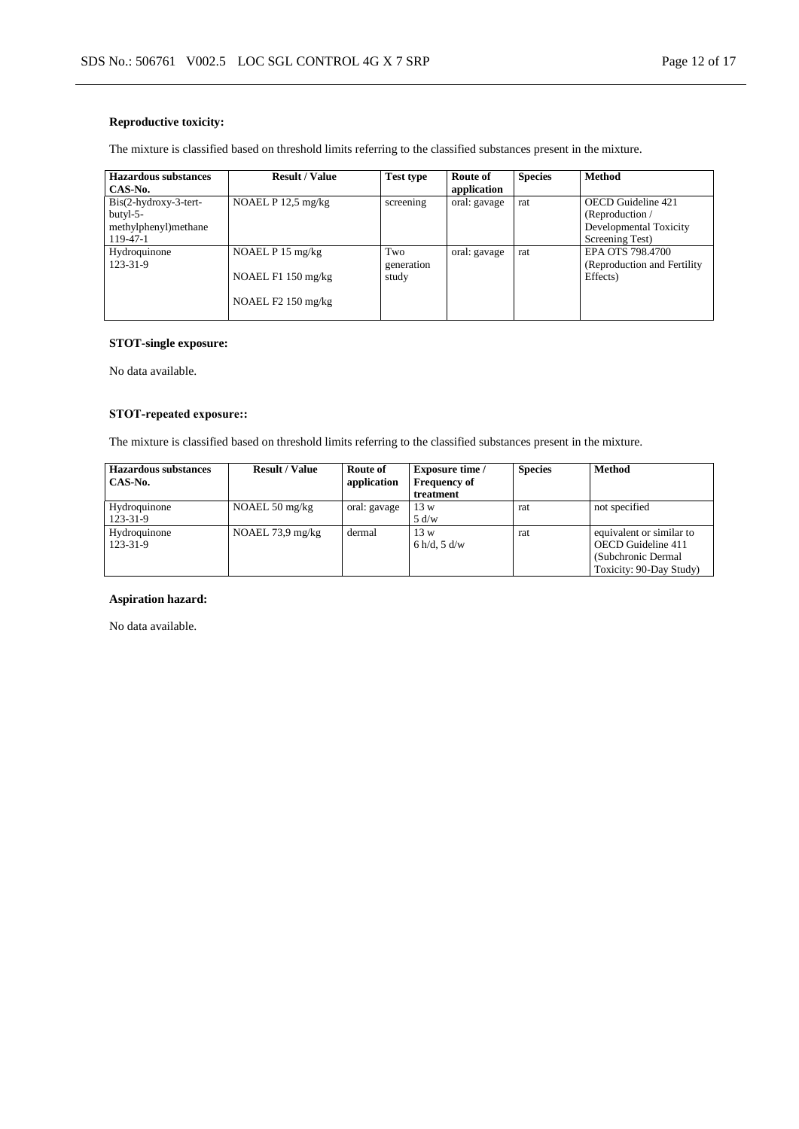### **Reproductive toxicity:**

The mixture is classified based on threshold limits referring to the classified substances present in the mixture.

| <b>Hazardous substances</b> | <b>Result / Value</b> | <b>Test type</b> | Route of     | <b>Species</b> | Method                       |
|-----------------------------|-----------------------|------------------|--------------|----------------|------------------------------|
| CAS-No.                     |                       |                  | application  |                |                              |
| $Bis(2-hydroxy-3-tert-$     | NOAEL $P$ 12.5 mg/kg  | screening        | oral: gavage | rat            | <b>OECD</b> Guideline 421    |
| butyl-5-                    |                       |                  |              |                | (Reproduction $/$            |
| methylphenyl)methane        |                       |                  |              |                | Developmental Toxicity       |
| 119-47-1                    |                       |                  |              |                | Screening Test)              |
| Hydroquinone                | NOAEL $P$ 15 mg/kg    | Two              | oral: gavage | rat            | EPA OTS 798.4700             |
| 123-31-9                    |                       | generation       |              |                | (Reproduction and Fertility) |
|                             | NOAEL F1 150 mg/kg    | study            |              |                | Effects)                     |
|                             |                       |                  |              |                |                              |
|                             | NOAEL $F2$ 150 mg/kg  |                  |              |                |                              |
|                             |                       |                  |              |                |                              |

### **STOT-single exposure:**

No data available.

### **STOT-repeated exposure::**

The mixture is classified based on threshold limits referring to the classified substances present in the mixture.

| <b>Hazardous substances</b> | <b>Result / Value</b>      | Route of     | <b>Exposure time</b> / | <b>Species</b> | <b>Method</b>            |
|-----------------------------|----------------------------|--------------|------------------------|----------------|--------------------------|
| CAS-No.                     |                            | application  | <b>Frequency of</b>    |                |                          |
|                             |                            |              | treatment              |                |                          |
| Hydroquinone                | NOAEL $50 \text{ mg/kg}$   | oral: gavage | 13 w                   | rat            | not specified            |
| 123-31-9                    |                            |              | 5 d/w                  |                |                          |
| Hydroquinone                | NOAEL $73.9 \text{ mg/kg}$ | dermal       | 13 w                   | rat            | equivalent or similar to |
| 123-31-9                    |                            |              | 6 h/d, 5 d/w           |                | OECD Guideline 411       |
|                             |                            |              |                        |                | (Subchronic Dermal)      |
|                             |                            |              |                        |                | Toxicity: 90-Day Study)  |

### **Aspiration hazard:**

No data available.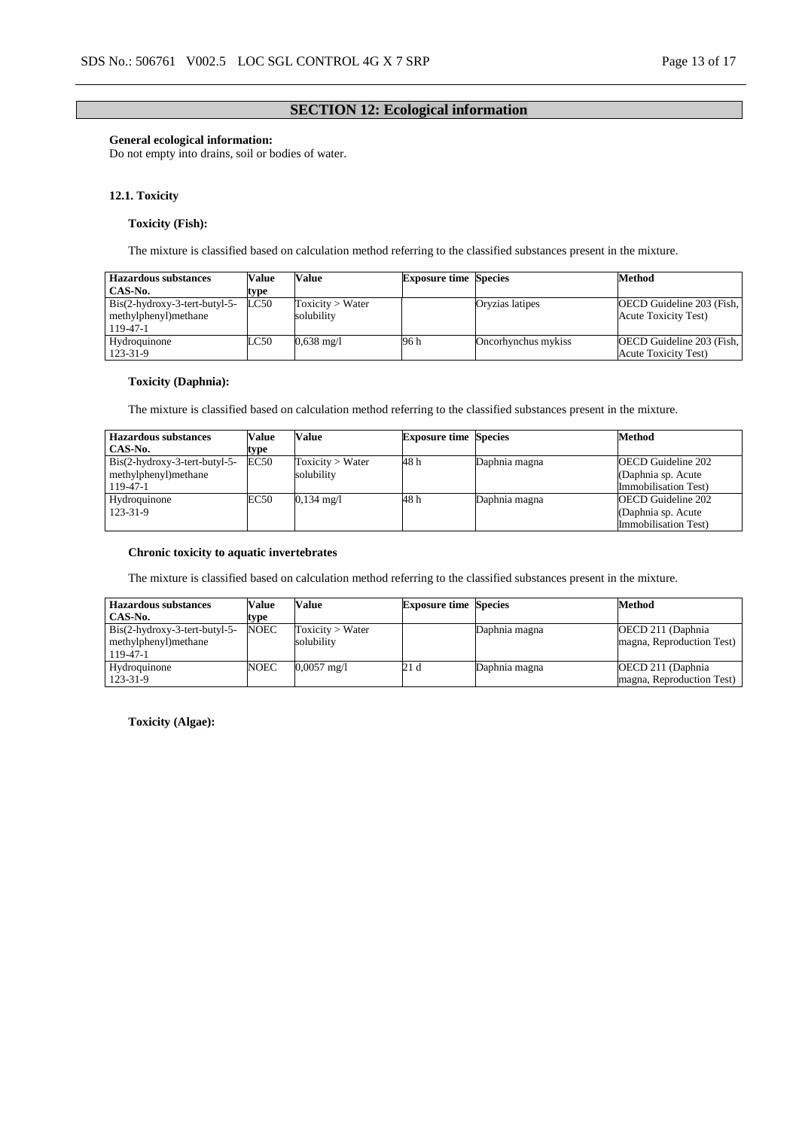### **SECTION 12: Ecological information**

#### **General ecological information:**

Do not empty into drains, soil or bodies of water.

#### **12.1. Toxicity**

### **Toxicity (Fish):**

The mixture is classified based on calculation method referring to the classified substances present in the mixture.

| <b>Hazardous substances</b>                                          | Value | Value                          | <b>Exposure time Species</b> |                     | <b>Method</b>                                             |
|----------------------------------------------------------------------|-------|--------------------------------|------------------------------|---------------------|-----------------------------------------------------------|
| CAS-No.                                                              | type  |                                |                              |                     |                                                           |
| $Bis(2-hydroxy-3-tert-butyl-5-$<br>methylphenyl) methane<br>119-47-1 | LC50  | Toxicity > Water<br>solubility |                              | Oryzias latipes     | OECD Guideline 203 (Fish,<br><b>Acute Toxicity Test</b> ) |
| Hydroquinone<br>123-31-9                                             | LC50  | $0,638 \text{ mg}/1$           | 96 h                         | Oncorhynchus mykiss | OECD Guideline 203 (Fish,<br><b>Acute Toxicity Test)</b>  |

### **Toxicity (Daphnia):**

The mixture is classified based on calculation method referring to the classified substances present in the mixture.

| <b>Hazardous substances</b>     | Value | Value                | <b>Exposure time Species</b> |               | <b>Method</b>             |
|---------------------------------|-------|----------------------|------------------------------|---------------|---------------------------|
| CAS-No.                         | type  |                      |                              |               |                           |
| $Bis(2-hydroxy-3-tert-butyl-5-$ | EC50  | Toxicity > Water     | 48 h                         | Daphnia magna | <b>OECD</b> Guideline 202 |
| methylphenyl) methane           |       | solubilitv           |                              |               | (Daphnia sp. Acute)       |
| 119-47-1                        |       |                      |                              |               | Immobilisation Test)      |
| Hydroquinone                    | EC50  | $0,134 \text{ mg}/1$ | 48 h                         | Daphnia magna | <b>OECD</b> Guideline 202 |
| 123-31-9                        |       |                      |                              |               | (Daphnia sp. Acute)       |
|                                 |       |                      |                              |               | Immobilisation Test)      |

#### **Chronic toxicity to aquatic invertebrates**

The mixture is classified based on calculation method referring to the classified substances present in the mixture.

| <b>Hazardous substances</b>                                         | Value       | Value                          | <b>Exposure time Species</b> |               | <b>Method</b>                                   |
|---------------------------------------------------------------------|-------------|--------------------------------|------------------------------|---------------|-------------------------------------------------|
| CAS-No.                                                             | type        |                                |                              |               |                                                 |
| $Bis(2-hydroxy-3-tert-butyl-5-$<br>methylphenyl)methane<br>119-47-1 | <b>NOEC</b> | Toxicity > Water<br>solubility |                              | Daphnia magna | OECD 211 (Daphnia)<br>magna, Reproduction Test) |
| Hydroquinone<br>123-31-9                                            | NOEC        | $0,0057 \text{ mg/l}$          | 21 d                         | Daphnia magna | OECD 211 (Daphnia)<br>magna, Reproduction Test) |

**Toxicity (Algae):**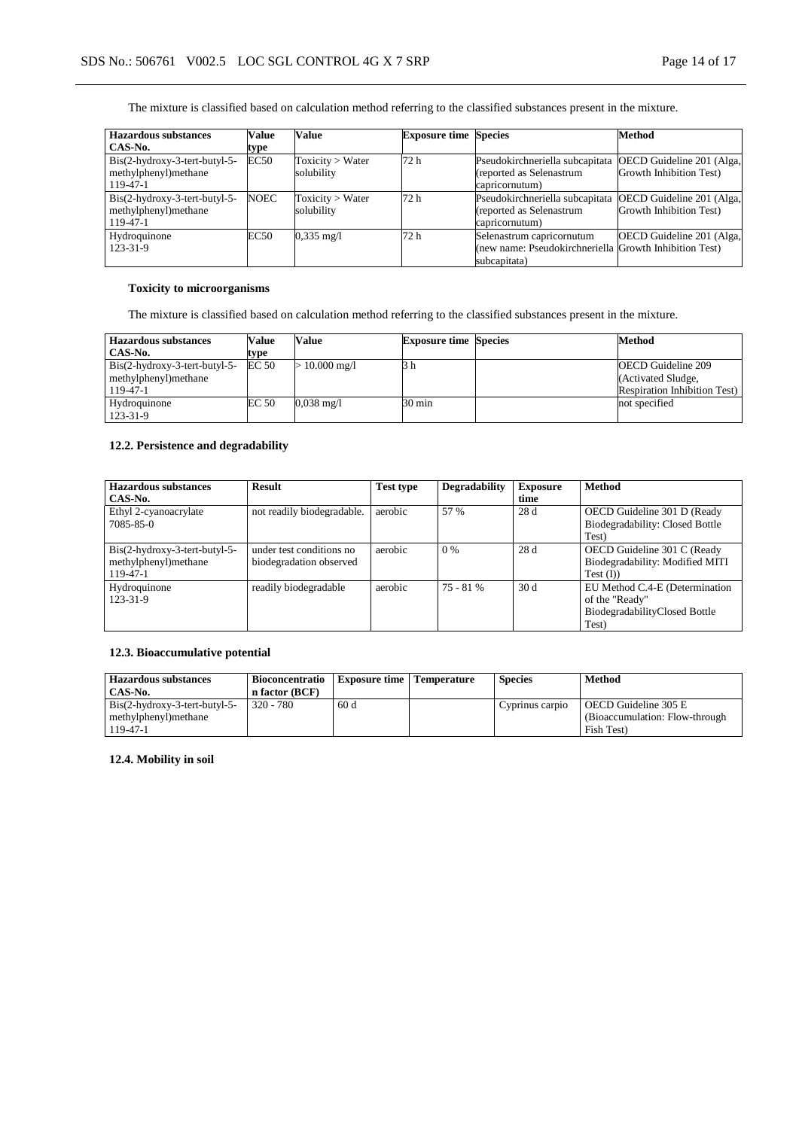The mixture is classified based on calculation method referring to the classified substances present in the mixture.

| <b>Hazardous substances</b>     | <b>Value</b> | Value                | <b>Exposure time Species</b> |                                                        | Method                    |
|---------------------------------|--------------|----------------------|------------------------------|--------------------------------------------------------|---------------------------|
| CAS-No.                         | type         |                      |                              |                                                        |                           |
| $Bis(2-hydroxy-3-tert-butyl-5-$ | EC50         | Toxicity > Water     | 72 <sub>h</sub>              | Pseudokirchneriella subcapitata                        | OECD Guideline 201 (Alga, |
| methylphenyl)methane            |              | solubility           |                              | (reported as Selenastrum                               | Growth Inhibition Test)   |
| 119-47-1                        |              |                      |                              | capricornutum)                                         |                           |
| $Bis(2-hydroxy-3-tert-butyl-5-$ | <b>NOEC</b>  | Toxicity > Water     | 72 <sub>h</sub>              | Pseudokirchneriella subcapitata                        | OECD Guideline 201 (Alga, |
| methylphenyl)methane            |              | solubility           |                              | (reported as Selenastrum                               | Growth Inhibition Test)   |
| 119-47-1                        |              |                      |                              | capricornutum)                                         |                           |
| Hydroquinone                    | EC50         | $0.335 \text{ mg}/1$ | 72 <sub>h</sub>              | Selenastrum capricornutum                              | OECD Guideline 201 (Alga, |
| 123-31-9                        |              |                      |                              | (new name: Pseudokirchneriella Growth Inhibition Test) |                           |
|                                 |              |                      |                              | subcapitata)                                           |                           |

# **Toxicity to microorganisms**

The mixture is classified based on calculation method referring to the classified substances present in the mixture.

| <b>Hazardous substances</b>     | Value | Value                    | <b>Exposure time Species</b> | <b>Method</b>                        |
|---------------------------------|-------|--------------------------|------------------------------|--------------------------------------|
| CAS-No.                         | type  |                          |                              |                                      |
| $Bis(2-hydroxy-3-tert-buty1-5-$ | EC 50 | $10.000 \,\mathrm{mg}/l$ | 3 h                          | <b>OECD</b> Guideline 209            |
| methylphenyl) methane           |       |                          |                              | (Activated Sludge,                   |
| 119-47-1                        |       |                          |                              | <b>Respiration Inhibition Test</b> ) |
| Hydroquinone                    | EC 50 | $0.038 \text{ mg}/1$     | 30 min                       | not specified                        |
| 123-31-9                        |       |                          |                              |                                      |

### **12.2. Persistence and degradability**

| <b>Hazardous substances</b>     | <b>Result</b>              | <b>Test type</b> | <b>Degradability</b> | <b>Exposure</b> | <b>Method</b>                   |
|---------------------------------|----------------------------|------------------|----------------------|-----------------|---------------------------------|
| CAS-No.                         |                            |                  |                      | time            |                                 |
| Ethyl 2-cyanoacrylate           | not readily biodegradable. | aerobic          | 57 %                 | 28 d            | OECD Guideline 301 D (Ready     |
| 7085-85-0                       |                            |                  |                      |                 | Biodegradability: Closed Bottle |
|                                 |                            |                  |                      |                 | Test)                           |
| $Bis(2-hydroxy-3-tert-butyl-5-$ | under test conditions no   | aerobic          | 0%                   | 28d             | OECD Guideline 301 C (Ready     |
| methylphenyl)methane            | biodegradation observed    |                  |                      |                 | Biodegradability: Modified MITI |
| $119 - 47 - 1$                  |                            |                  |                      |                 | Test (I))                       |
| Hydroquinone                    | readily biodegradable      | aerobic          | $75 - 81%$           | 30d             | EU Method C.4-E (Determination  |
| 123-31-9                        |                            |                  |                      |                 | of the "Ready"                  |
|                                 |                            |                  |                      |                 | BiodegradabilityClosed Bottle   |
|                                 |                            |                  |                      |                 | Test)                           |

### **12.3. Bioaccumulative potential**

| <b>Hazardous substances</b>                                        | <b>Bioconcentratio</b> | Exposure time   Temperature | <b>Species</b>  | <b>Method</b>                   |
|--------------------------------------------------------------------|------------------------|-----------------------------|-----------------|---------------------------------|
| CAS-No.                                                            | n factor (BCF)         |                             |                 |                                 |
| $\text{Bis}(2-h\text{vdroxy-}3\text{-}\text{tert-butyl-}5\text{-}$ | $320 - 780$            | 60d                         | Cyprinus carpio | OECD Guideline 305 E            |
| methylphenyl) methane                                              |                        |                             |                 | (Bioaccumulation: Flow-through) |
| 119-47-1                                                           |                        |                             |                 | Fish Test)                      |

**12.4. Mobility in soil**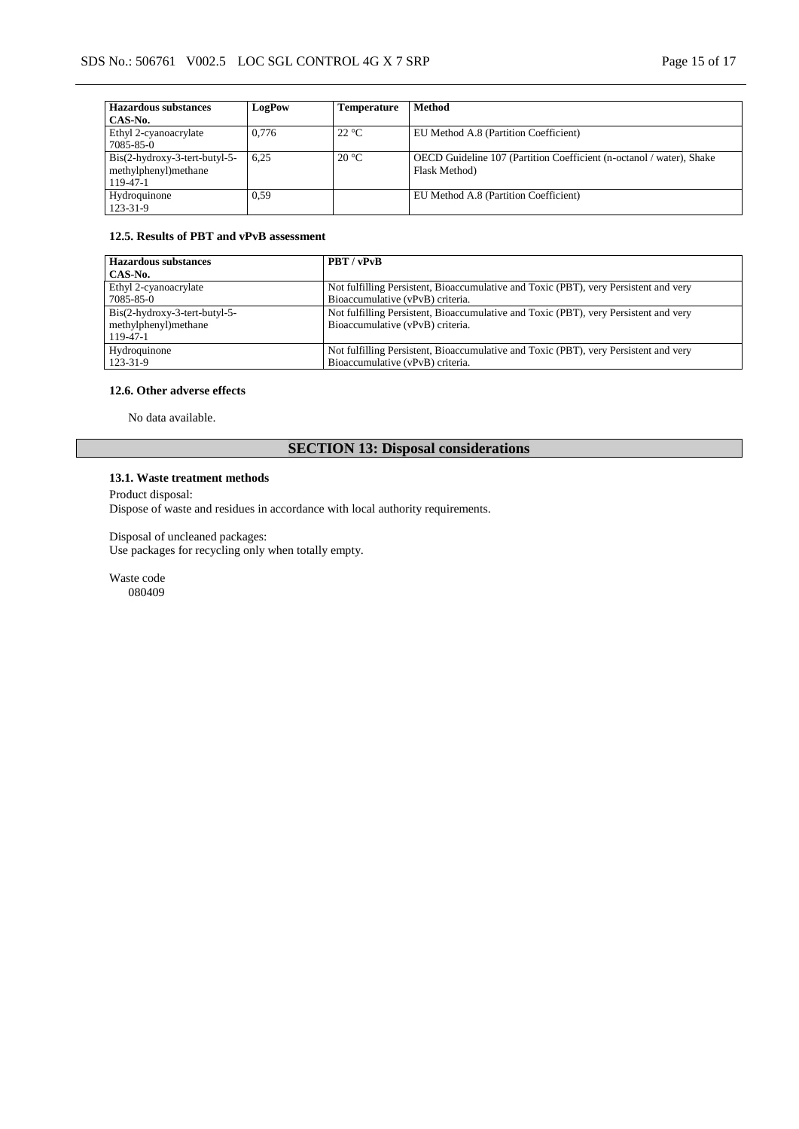| <b>Hazardous substances</b>     | LogPow | Temperature    | <b>Method</b>                                                        |
|---------------------------------|--------|----------------|----------------------------------------------------------------------|
| CAS-No.                         |        |                |                                                                      |
| Ethyl 2-cyanoacrylate           | 0.776  | $22^{\circ}C$  | EU Method A.8 (Partition Coefficient)                                |
| 7085-85-0                       |        |                |                                                                      |
| $Bis(2-hydroxy-3-tert-butyl-5-$ | 6.25   | $20^{\circ}$ C | OECD Guideline 107 (Partition Coefficient (n-octanol / water), Shake |
| methylphenyl)methane            |        |                | Flask Method)                                                        |
| 119-47-1                        |        |                |                                                                      |
| Hydroquinone                    | 0.59   |                | EU Method A.8 (Partition Coefficient)                                |
| 123-31-9                        |        |                |                                                                      |

#### **12.5. Results of PBT and vPvB assessment**

| <b>Hazardous substances</b>     | <b>PBT</b> / vPvB                                                                    |
|---------------------------------|--------------------------------------------------------------------------------------|
| CAS-No.                         |                                                                                      |
| Ethyl 2-cyanoacrylate           | Not fulfilling Persistent, Bioaccumulative and Toxic (PBT), very Persistent and very |
| 7085-85-0                       | Bioaccumulative (vPvB) criteria.                                                     |
| $Bis(2-hydroxy-3-tert-butyl-5-$ | Not fulfilling Persistent, Bioaccumulative and Toxic (PBT), very Persistent and very |
| methylphenyl)methane            | Bioaccumulative (vPvB) criteria.                                                     |
| 119-47-1                        |                                                                                      |
| Hydroquinone                    | Not fulfilling Persistent, Bioaccumulative and Toxic (PBT), very Persistent and very |
| 123-31-9                        | Bioaccumulative (vPvB) criteria.                                                     |

#### **12.6. Other adverse effects**

No data available.

# **SECTION 13: Disposal considerations**

### **13.1. Waste treatment methods**

Product disposal:

Dispose of waste and residues in accordance with local authority requirements.

Disposal of uncleaned packages:

Use packages for recycling only when totally empty.

Waste code 080409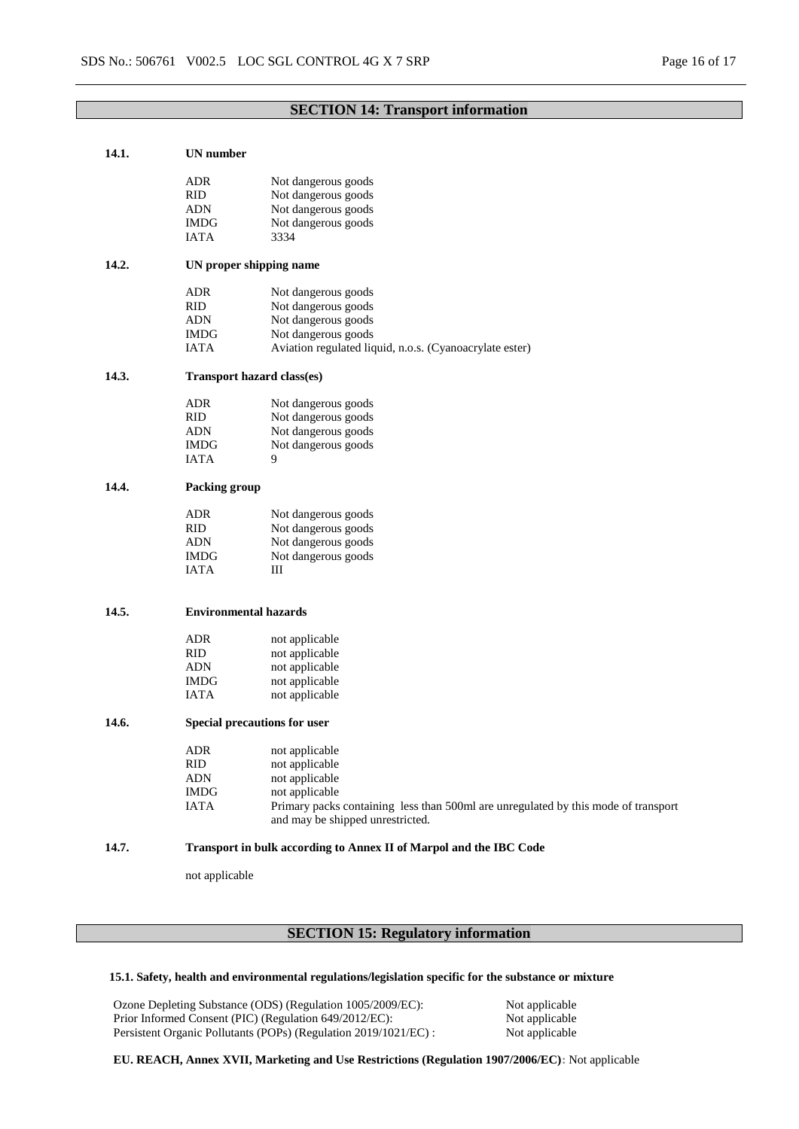### **SECTION 14: Transport information**

| 14.1. | UN number                    |                                                                                    |  |  |  |
|-------|------------------------------|------------------------------------------------------------------------------------|--|--|--|
|       | ADR.                         | Not dangerous goods                                                                |  |  |  |
|       | RID                          | Not dangerous goods                                                                |  |  |  |
|       | <b>ADN</b>                   | Not dangerous goods                                                                |  |  |  |
|       | <b>IMDG</b>                  | Not dangerous goods                                                                |  |  |  |
|       | <b>IATA</b>                  | 3334                                                                               |  |  |  |
|       |                              |                                                                                    |  |  |  |
| 14.2. | UN proper shipping name      |                                                                                    |  |  |  |
|       | ADR                          | Not dangerous goods                                                                |  |  |  |
|       | RID                          | Not dangerous goods                                                                |  |  |  |
|       | <b>ADN</b>                   | Not dangerous goods                                                                |  |  |  |
|       | <b>IMDG</b>                  | Not dangerous goods                                                                |  |  |  |
|       | <b>IATA</b>                  | Aviation regulated liquid, n.o.s. (Cyanoacrylate ester)                            |  |  |  |
| 14.3. | Transport hazard class(es)   |                                                                                    |  |  |  |
|       | <b>ADR</b>                   | Not dangerous goods                                                                |  |  |  |
|       | <b>RID</b>                   | Not dangerous goods                                                                |  |  |  |
|       | <b>ADN</b>                   | Not dangerous goods                                                                |  |  |  |
|       | <b>IMDG</b>                  | Not dangerous goods                                                                |  |  |  |
|       | <b>IATA</b>                  | 9                                                                                  |  |  |  |
| 14.4. | <b>Packing group</b>         |                                                                                    |  |  |  |
|       | <b>ADR</b>                   | Not dangerous goods                                                                |  |  |  |
|       | <b>RID</b>                   | Not dangerous goods                                                                |  |  |  |
|       | ADN                          | Not dangerous goods                                                                |  |  |  |
|       | <b>IMDG</b>                  | Not dangerous goods                                                                |  |  |  |
|       | <b>IATA</b>                  | Ш                                                                                  |  |  |  |
|       |                              |                                                                                    |  |  |  |
| 14.5. | <b>Environmental hazards</b> |                                                                                    |  |  |  |
|       | ADR                          | not applicable                                                                     |  |  |  |
|       | <b>RID</b>                   | not applicable                                                                     |  |  |  |
|       | <b>ADN</b>                   | not applicable                                                                     |  |  |  |
|       | <b>IMDG</b>                  | not applicable                                                                     |  |  |  |
|       | <b>IATA</b>                  | not applicable                                                                     |  |  |  |
| 14.6. | Special precautions for user |                                                                                    |  |  |  |
|       | ADR                          | not applicable                                                                     |  |  |  |
|       | <b>RID</b>                   | not applicable                                                                     |  |  |  |
|       | ADN                          | not applicable                                                                     |  |  |  |
|       | <b>IMDG</b>                  | not applicable                                                                     |  |  |  |
|       | <b>IATA</b>                  | Primary packs containing less than 500ml are unregulated by this mode of transport |  |  |  |
|       |                              | and may be shipped unrestricted.                                                   |  |  |  |
| 14.7. |                              | Transport in bulk according to Annex II of Marpol and the IBC Code                 |  |  |  |
|       | not applicable               |                                                                                    |  |  |  |

# **SECTION 15: Regulatory information**

### **15.1. Safety, health and environmental regulations/legislation specific for the substance or mixture**

Ozone Depleting Substance (ODS) (Regulation 1005/2009/EC): Not applicable<br>Prior Informed Consent (PIC) (Regulation 649/2012/EC): Not applicable Prior Informed Consent (PIC) (Regulation 649/2012/EC): Not applicable<br>Persistent Organic Pollutants (POPs) (Regulation 2019/1021/EC) : Not applicable Persistent Organic Pollutants (POPs) (Regulation 2019/1021/EC) :

**EU. REACH, Annex XVII, Marketing and Use Restrictions (Regulation 1907/2006/EC):** Not applicable